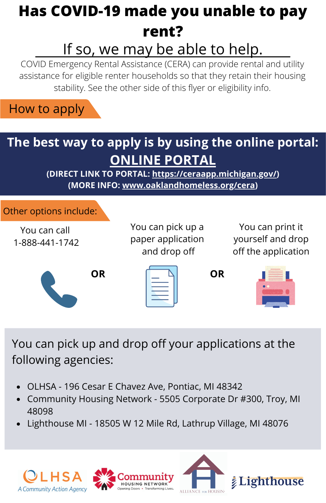## **Has COVID-19 made you unable to pay rent?** If so, we may be able to help.

COVID Emergency Rental Assistance (CERA) can provide rental and utility assistance for eligible renter households so that they retain their housing stability. See the other side of this flyer or eligibility info.



### **The best way to apply is by using the online portal: ONLINE [PORTAL](https://ceraapp.michigan.gov/)**

**(DIRECT LINK TO PORTAL: <https://ceraapp.michigan.gov/>) (MORE INFO: [www.oaklandhomeless.org/cera\)](http://www.oaklandhomeless.org/cera)**



You can pick up and drop off your applications at the following agencies:

- OLHSA 196 Cesar E Chavez Ave, Pontiac, MI 48342
- Community Housing Network 5505 Corporate Dr #300, Troy, MI 48098
- Lighthouse MI 18505 W 12 Mile Rd, Lathrup Village, MI 48076

A Community Action Agency